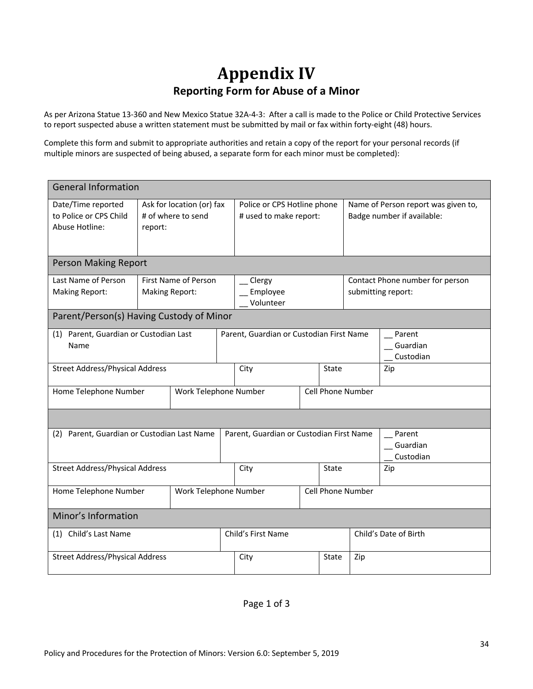## **Appendix IV Reporting Form for Abuse of a Minor**

As per Arizona Statue 13-360 and New Mexico Statue 32A-4-3: After a call is made to the Police or Child Protective Services to report suspected abuse a written statement must be submitted by mail or fax within forty-eight (48) hours.

Complete this form and submit to appropriate authorities and retain a copy of the report for your personal records (if multiple minors are suspected of being abused, a separate form for each minor must be completed):

| <b>General Information</b>                                     |                                                            |                                            |                                          |                                                       |              |                                                                   |                                                       |                                 |  |  |
|----------------------------------------------------------------|------------------------------------------------------------|--------------------------------------------|------------------------------------------|-------------------------------------------------------|--------------|-------------------------------------------------------------------|-------------------------------------------------------|---------------------------------|--|--|
| Date/Time reported<br>to Police or CPS Child<br>Abuse Hotline: | Ask for location (or) fax<br># of where to send<br>report: |                                            |                                          | Police or CPS Hotline phone<br># used to make report: |              | Name of Person report was given to,<br>Badge number if available: |                                                       |                                 |  |  |
| Person Making Report                                           |                                                            |                                            |                                          |                                                       |              |                                                                   |                                                       |                                 |  |  |
| Last Name of Person<br><b>Making Report:</b>                   | First Name of Person<br><b>Making Report:</b>              |                                            |                                          | Clergy<br>Employee<br>Volunteer                       |              |                                                                   | Contact Phone number for person<br>submitting report: |                                 |  |  |
| Parent/Person(s) Having Custody of Minor                       |                                                            |                                            |                                          |                                                       |              |                                                                   |                                                       |                                 |  |  |
| (1) Parent, Guardian or Custodian Last<br>Name                 |                                                            |                                            | Parent, Guardian or Custodian First Name |                                                       |              |                                                                   |                                                       | Parent<br>Guardian<br>Custodian |  |  |
| <b>Street Address/Physical Address</b>                         |                                                            |                                            |                                          | City                                                  | <b>State</b> |                                                                   |                                                       | Zip                             |  |  |
| Home Telephone Number                                          |                                                            | Cell Phone Number<br>Work Telephone Number |                                          |                                                       |              |                                                                   |                                                       |                                 |  |  |
|                                                                |                                                            |                                            |                                          |                                                       |              |                                                                   |                                                       |                                 |  |  |
| (2) Parent, Guardian or Custodian Last Name                    |                                                            |                                            | Parent, Guardian or Custodian First Name |                                                       |              |                                                                   |                                                       | Parent<br>Guardian<br>Custodian |  |  |
| <b>Street Address/Physical Address</b>                         |                                                            |                                            | City                                     |                                                       | <b>State</b> |                                                                   | Zip                                                   |                                 |  |  |
| Home Telephone Number<br>Work Telephone Number                 |                                                            |                                            |                                          | Cell Phone Number                                     |              |                                                                   |                                                       |                                 |  |  |
| Minor's Information                                            |                                                            |                                            |                                          |                                                       |              |                                                                   |                                                       |                                 |  |  |
| Child's Last Name<br>(1)                                       |                                                            |                                            |                                          | Child's First Name                                    |              |                                                                   | Child's Date of Birth                                 |                                 |  |  |
| <b>Street Address/Physical Address</b>                         |                                                            |                                            |                                          | City                                                  |              | State                                                             | Zip                                                   |                                 |  |  |

Page 1 of 3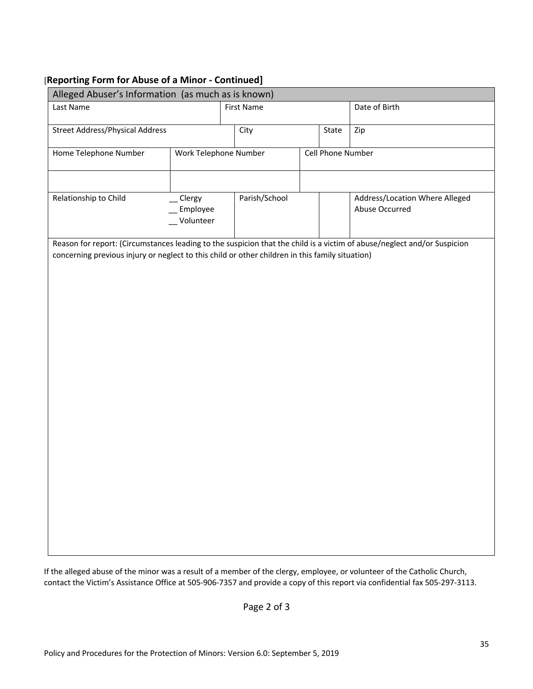### [**Reporting Form for Abuse of a Minor - Continued]**

| Alleged Abuser's Information (as much as is known)                                              |                       |                   |  |                   |                                                                                                                         |  |  |  |  |
|-------------------------------------------------------------------------------------------------|-----------------------|-------------------|--|-------------------|-------------------------------------------------------------------------------------------------------------------------|--|--|--|--|
| Last Name                                                                                       |                       | <b>First Name</b> |  | Date of Birth     |                                                                                                                         |  |  |  |  |
| <b>Street Address/Physical Address</b>                                                          |                       | City              |  | State             | Zip                                                                                                                     |  |  |  |  |
| Home Telephone Number                                                                           | Work Telephone Number |                   |  | Cell Phone Number |                                                                                                                         |  |  |  |  |
|                                                                                                 |                       |                   |  |                   |                                                                                                                         |  |  |  |  |
| Relationship to Child<br>_Clergy<br>Employee<br>Volunteer                                       |                       | Parish/School     |  |                   | Address/Location Where Alleged<br>Abuse Occurred                                                                        |  |  |  |  |
| concerning previous injury or neglect to this child or other children in this family situation) |                       |                   |  |                   | Reason for report: (Circumstances leading to the suspicion that the child is a victim of abuse/neglect and/or Suspicion |  |  |  |  |

If the alleged abuse of the minor was a result of a member of the clergy, employee, or volunteer of the Catholic Church, contact the Victim's Assistance Office at 505-906-7357 and provide a copy of this report via confidential fax 505-297-3113.

Page 2 of 3